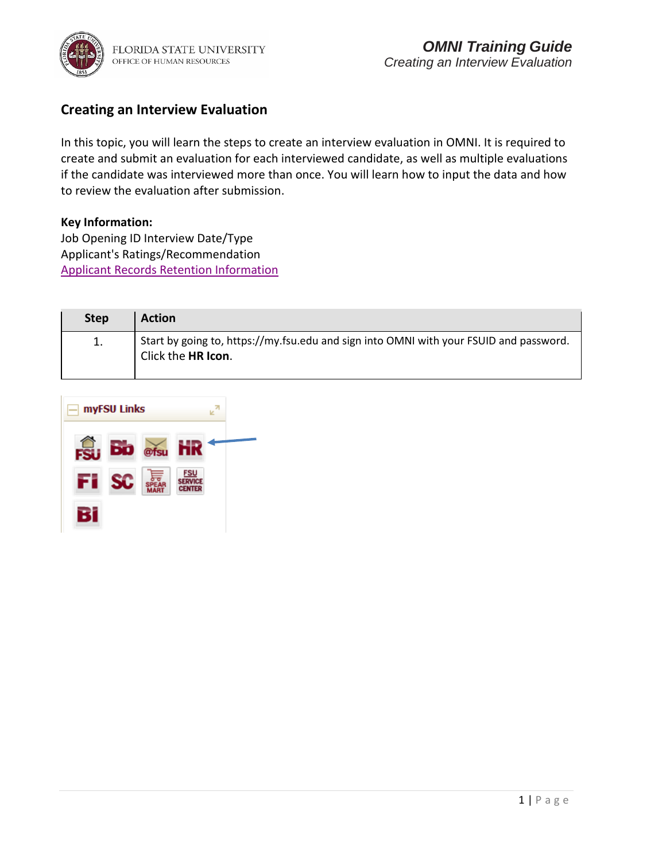

### **Creating an Interview Evaluation**

In this topic, you will learn the steps to create an interview evaluation in OMNI. It is required to create and submit an evaluation for each interviewed candidate, as well as multiple evaluations if the candidate was interviewed more than once. You will learn how to input the data and how to review the evaluation after submission.

#### **Key Information:**

Job Opening ID Interview Date/Type Applicant's Ratings/Recommendation [Applicant Records Retention Information](https://searchtraining.hr.fsu.edu/storage/toolkits/faculty/recordkeeping.pdf)

| <b>Step</b> | <b>Action</b>                                                                                                  |
|-------------|----------------------------------------------------------------------------------------------------------------|
|             | Start by going to, https://my.fsu.edu and sign into OMNI with your FSUID and password.<br>I Click the HR Icon. |

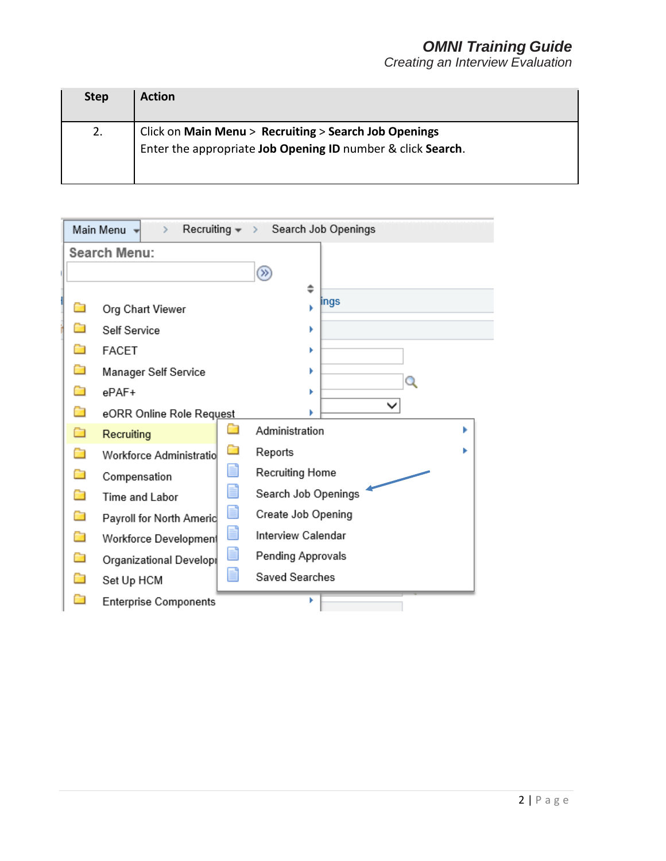| <b>Step</b> | <b>Action</b>                                                                                                        |
|-------------|----------------------------------------------------------------------------------------------------------------------|
| 2.          | Click on Main Menu > Recruiting > Search Job Openings<br>Enter the appropriate Job Opening ID number & click Search. |

|   | Main Menu $\blacktriangledown$<br>$\rightarrow$                                                                                                                                                                                              | Recruiting v > Search Job Openings |
|---|----------------------------------------------------------------------------------------------------------------------------------------------------------------------------------------------------------------------------------------------|------------------------------------|
|   | <b>Search Menu:</b>                                                                                                                                                                                                                          |                                    |
|   |                                                                                                                                                                                                                                              | $\circledcirc$                     |
|   |                                                                                                                                                                                                                                              | ÷<br>ings                          |
|   | Org Chart Viewer                                                                                                                                                                                                                             |                                    |
|   | Self Service                                                                                                                                                                                                                                 |                                    |
|   | <b>FACET</b>                                                                                                                                                                                                                                 |                                    |
| œ | Manager Self Service                                                                                                                                                                                                                         | $\mathbf Q$                        |
| n | $e$ $PAF+$                                                                                                                                                                                                                                   |                                    |
|   | eORR Online Role Request                                                                                                                                                                                                                     |                                    |
| Ò | n and the second second second second second second second second second second second second second second second second second second second second second second second second second second second second second second se<br>Recruiting | Administration<br>Þ                |
| n | n<br>Workforce Administratio                                                                                                                                                                                                                 | Reports                            |
| Ò | E<br>Compensation                                                                                                                                                                                                                            | Recruiting Home                    |
| n | Ħ<br>Time and Labor                                                                                                                                                                                                                          | Search Job Openings                |
| Ò | Ľ<br>Payroll for North Americ                                                                                                                                                                                                                | Create Job Opening                 |
| Ò | E<br>Workforce Developmen                                                                                                                                                                                                                    | Interview Calendar                 |
|   | Ľ<br>Organizational Developi                                                                                                                                                                                                                 | Pending Approvals                  |
|   | Ħ<br>Set Up HCM                                                                                                                                                                                                                              | Saved Searches                     |
|   | <b>Enterprise Components</b>                                                                                                                                                                                                                 |                                    |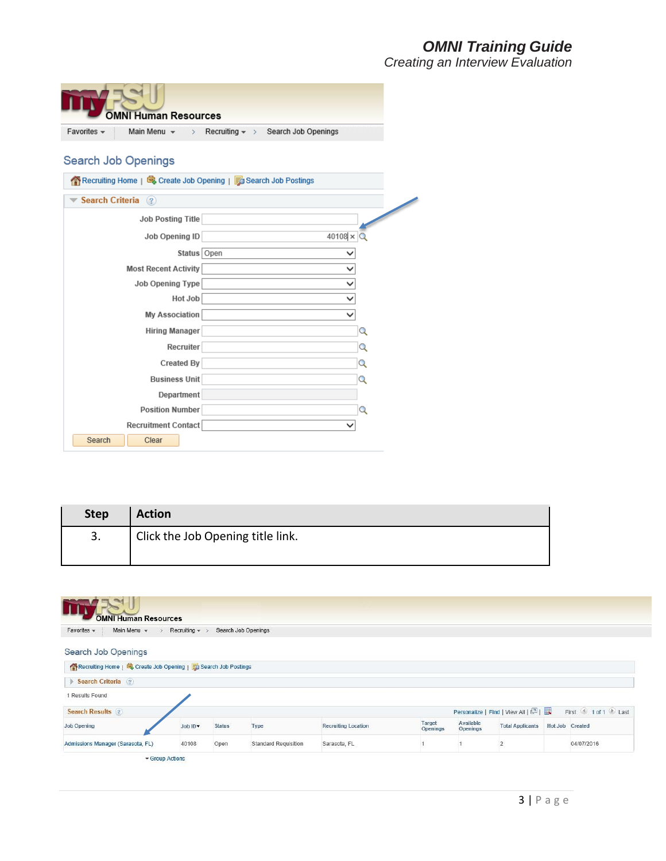|                     | <b>OMNI Human Resources</b> |               |                                                                  |                  |
|---------------------|-----------------------------|---------------|------------------------------------------------------------------|------------------|
| Favorites -         | Main Menu $\star$           |               | > Recruiting $\star$ > Search Job Openings                       |                  |
|                     |                             |               |                                                                  |                  |
| Search Job Openings |                             |               |                                                                  |                  |
|                     |                             |               | K Recruiting Home   母 Create Job Opening   n Search Job Postings |                  |
| Search Criteria (?) |                             |               |                                                                  |                  |
|                     | <b>Job Posting Title</b>    |               |                                                                  |                  |
|                     | Job Opening ID              |               |                                                                  | $40108 \times Q$ |
|                     |                             | Status   Open |                                                                  |                  |
|                     | <b>Most Recent Activity</b> |               |                                                                  |                  |
|                     | Job Opening Type            |               |                                                                  |                  |
|                     |                             | Hot Job       |                                                                  | ◡                |
|                     | <b>My Association</b>       |               |                                                                  | ◡                |
|                     | <b>Hiring Manager</b>       |               |                                                                  | Q                |
|                     |                             | Recruiter     |                                                                  | Q                |
|                     | <b>Created By</b>           |               |                                                                  | Q                |
|                     | <b>Business Unit</b>        |               |                                                                  | Q                |
|                     | Department                  |               |                                                                  |                  |
|                     | <b>Position Number</b>      |               |                                                                  | Q                |
|                     | Recruitment Contact         |               |                                                                  |                  |
| Search              | Clear                       |               |                                                                  |                  |

| <b>Step</b> | <b>Action</b>                     |
|-------------|-----------------------------------|
| 3.          | Click the Job Opening title link. |
|             |                                   |

| <b>OMNI Human Resources</b><br>Main Menu v<br>Favorites $\sim$        | Recruiting $\sim$ > |               | Search Job Openings         |                            |                           |                       |                                   |                 |                                  |
|-----------------------------------------------------------------------|---------------------|---------------|-----------------------------|----------------------------|---------------------------|-----------------------|-----------------------------------|-----------------|----------------------------------|
| Search Job Openings                                                   |                     |               |                             |                            |                           |                       |                                   |                 |                                  |
| Recruiting Home   <b>B</b> Create Job Opening   B Search Job Postings |                     |               |                             |                            |                           |                       |                                   |                 |                                  |
| Search Criteria (?)                                                   |                     |               |                             |                            |                           |                       |                                   |                 |                                  |
| 1 Results Found                                                       |                     |               |                             |                            |                           |                       |                                   |                 |                                  |
| <b>Search Results</b> ?                                               |                     |               |                             |                            |                           |                       | Personalize   Find   View All   2 |                 | First <sup>1</sup> 1 of 1 2 Last |
| <b>Job Opening</b>                                                    | Job ID *            | <b>Status</b> | Type                        | <b>Recruiting Location</b> | <b>Target</b><br>Openings | Available<br>Openings | <b>Total Applicants</b>           | Hot Job Created |                                  |
| Admissions Manager (Sarasota, FL)                                     | 40108               | Open          | <b>Standard Requisition</b> | Sarasota, FL               |                           |                       | $\overline{2}$                    |                 | 04/07/2016                       |
| Group Actions                                                         |                     |               |                             |                            |                           |                       |                                   |                 |                                  |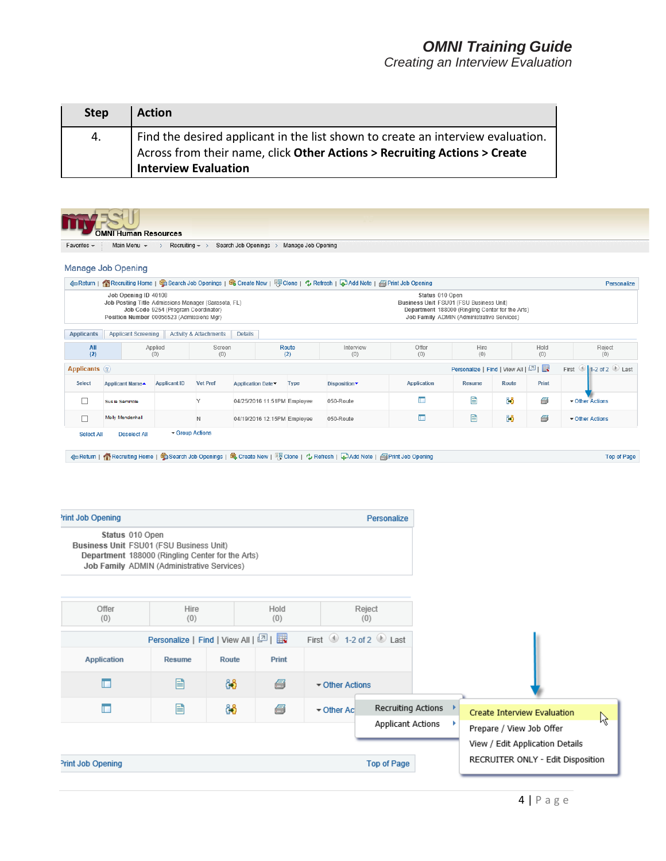| <b>Step</b> | <b>Action</b>                                                                                                                                                                               |
|-------------|---------------------------------------------------------------------------------------------------------------------------------------------------------------------------------------------|
| 4.          | Find the desired applicant in the list shown to create an interview evaluation.<br>Across from their name, click Other Actions > Recruiting Actions > Create<br><b>Interview Evaluation</b> |

|                          | Manage Job Opening                                                                                                                                           |                                     |                                   |                             |                             | ←Return   个Recruiting Home   雪 Search Job Openings   雪 Create New   FD Clone   ウ Refresh   中 Add Note   子 Print Job Opening         |                                                            |                                                                                                |       |             | Personalize                               |
|--------------------------|--------------------------------------------------------------------------------------------------------------------------------------------------------------|-------------------------------------|-----------------------------------|-----------------------------|-----------------------------|-------------------------------------------------------------------------------------------------------------------------------------|------------------------------------------------------------|------------------------------------------------------------------------------------------------|-------|-------------|-------------------------------------------|
|                          | Job Opening ID 40108<br>Job Posting Title Admissions Manager (Sarasota, FL)<br>Position Number 00056523 (Admissions Mgr)                                     | Job Code 9254 (Program Coordinator) |                                   |                             |                             |                                                                                                                                     | Status 010 Open<br>Business Unit FSU01 (FSU Business Unit) | Department 188000 (Ringling Center for the Arts)<br>Job Family ADMIN (Administrative Services) |       |             |                                           |
| <b>Applicants</b>        | <b>Applicant Screening</b>                                                                                                                                   |                                     | <b>Activity &amp; Attachments</b> | <b>Details</b>              |                             |                                                                                                                                     |                                                            |                                                                                                |       |             |                                           |
| All<br>(2)               |                                                                                                                                                              | Applied<br>(0)                      | Screen<br>(0)                     |                             | Route<br>(2)                | Interview<br>(0)                                                                                                                    | Offer<br>(0)                                               | Hire<br>(0)                                                                                    |       | Hold<br>(0) | Reject<br>(0)                             |
| Applicants ?             |                                                                                                                                                              |                                     |                                   |                             |                             |                                                                                                                                     |                                                            | Personalize   Find   View All   2                                                              |       |             | First $\bigcirc$ 1-2 of 2 $\bigcirc$ Last |
| Select                   | <b>Applicant Name</b>                                                                                                                                        | <b>Applicant ID</b>                 | <b>Vet Pref</b>                   | Application Date            | <b>Type</b>                 | Disposition                                                                                                                         | <b>Application</b>                                         | <b>Resume</b>                                                                                  | Route | Print       |                                           |
| $\Box$                   | Sus ie Seminole                                                                                                                                              |                                     | Y                                 | 04/25/2016 11:51PM Employee |                             | 050-Route                                                                                                                           | П                                                          | 目                                                                                              | 88    | a           | ▼ Other Actions                           |
|                          | Molly Mendenhall                                                                                                                                             |                                     |                                   |                             | 04/19/2016 12:15PM Employee | 050-Route                                                                                                                           | O                                                          | 目                                                                                              | දිරි  | 6           | ▼ Other Actions                           |
| $\Box$<br>Select All     | <b>Deselect All</b>                                                                                                                                          |                                     | N<br>Group Actions                |                             |                             | 《netturn   《Recruiting Home   雪 Search Job Openings   莺 Create New   『図 Clone   ☆ Refresh   ふ Add Note   <i>图</i> Print Job Opening |                                                            |                                                                                                |       |             |                                           |
|                          |                                                                                                                                                              |                                     |                                   |                             |                             |                                                                                                                                     |                                                            |                                                                                                |       |             |                                           |
| <b>Print Job Opening</b> |                                                                                                                                                              |                                     |                                   |                             |                             |                                                                                                                                     | Personalize                                                |                                                                                                |       |             | <b>Top of Page</b>                        |
|                          | Status 010 Open<br>Business Unit FSU01 (FSU Business Unit)<br>Department 188000 (Ringling Center for the Arts)<br>Job Family ADMIN (Administrative Services) |                                     |                                   |                             |                             |                                                                                                                                     |                                                            |                                                                                                |       |             |                                           |
|                          |                                                                                                                                                              |                                     |                                   |                             |                             |                                                                                                                                     |                                                            |                                                                                                |       |             |                                           |

| Application       | <b>RESULTE</b> | <b>KUULU</b> | <b>PHIL</b> |                 |                                         |  |                                                             |    |
|-------------------|----------------|--------------|-------------|-----------------|-----------------------------------------|--|-------------------------------------------------------------|----|
|                   | 閆              | ôô           | 6           | ▼ Other Actions |                                         |  |                                                             |    |
|                   | 目              | ôô           | 6           | ▼ Other Ac      | Recruiting Actions<br>Applicant Actions |  | Create Interview Evaluation                                 | ΝÇ |
|                   |                |              |             |                 |                                         |  | Prepare / View Job Offer<br>View / Edit Application Details |    |
| Print Job Opening |                |              |             |                 | Top of Page                             |  | RECRUITER ONLY - Edit Disposition                           |    |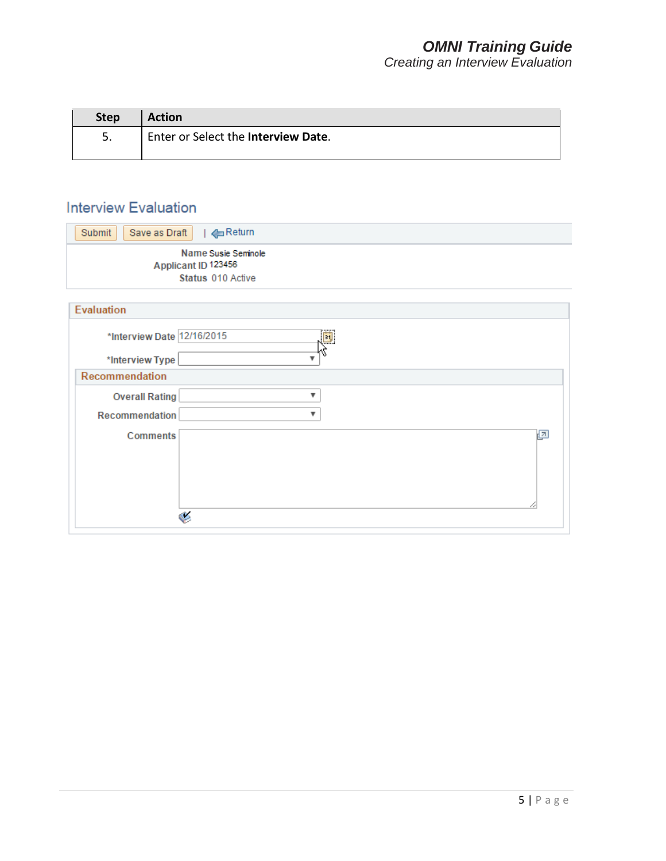| <b>Step</b> | <b>Action</b>                         |
|-------------|---------------------------------------|
| 5.          | I Enter or Select the Interview Date. |

# **Interview Evaluation**

| ←Return<br>Submit<br>Save as Draft                              |    |
|-----------------------------------------------------------------|----|
| Name Susie Seminole<br>Applicant ID 123456<br>Status 010 Active |    |
| <b>Evaluation</b>                                               |    |
| *Interview Date 12/16/2015                                      | 31 |
| *Interview Type                                                 | ▼  |
| Recommendation                                                  |    |
| <b>Overall Rating</b>                                           | v  |
| Recommendation                                                  | v  |
| <b>Comments</b><br>۸                                            | ø  |
|                                                                 |    |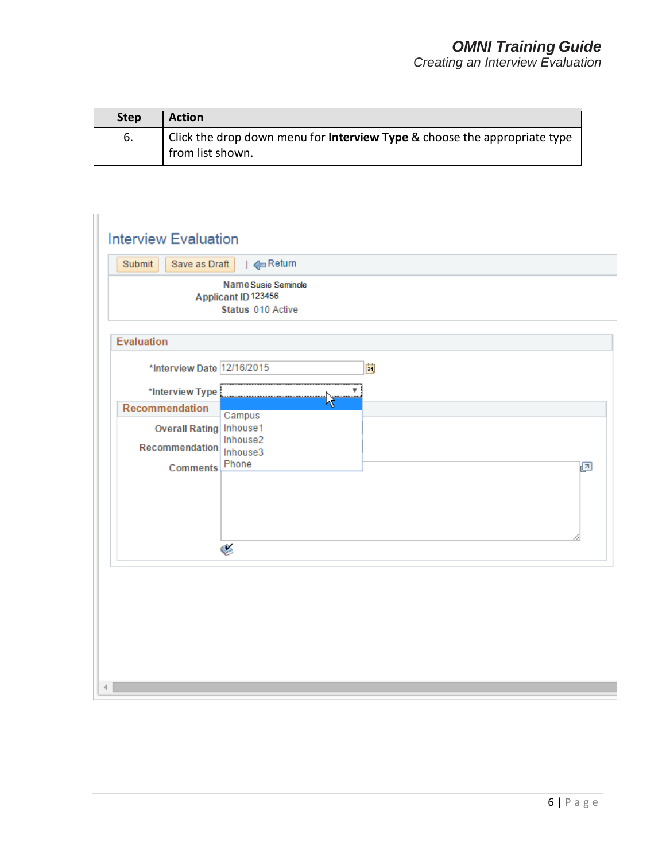| <b>Step</b> | <b>Action</b>                                                                                        |
|-------------|------------------------------------------------------------------------------------------------------|
| 6.          | Click the drop down menu for <b>Interview Type</b> & choose the appropriate type<br>from list shown. |

| Submit<br>Save as Draft                                      | EReturn                                    |     |   |
|--------------------------------------------------------------|--------------------------------------------|-----|---|
|                                                              | Name Susie Seminole<br>Applicant ID 123456 |     |   |
|                                                              | Status 010 Active                          |     |   |
| <b>Evaluation</b>                                            |                                            |     |   |
|                                                              |                                            |     |   |
| *Interview Date 12/16/2015                                   |                                            | Ë   |   |
| *Interview Type                                              |                                            | ▼ : |   |
| Recommendation                                               | <b>VA</b>                                  |     |   |
| Overall Rating Inhouse1<br>Recommendation<br><b>Comments</b> | Campus<br>Inhouse2<br>Inhouse3<br>Phone    |     | ø |
|                                                              |                                            |     |   |
|                                                              |                                            |     |   |
|                                                              | ❤                                          |     |   |
|                                                              |                                            |     |   |
|                                                              |                                            |     |   |
|                                                              |                                            |     |   |
|                                                              |                                            |     |   |
|                                                              |                                            |     |   |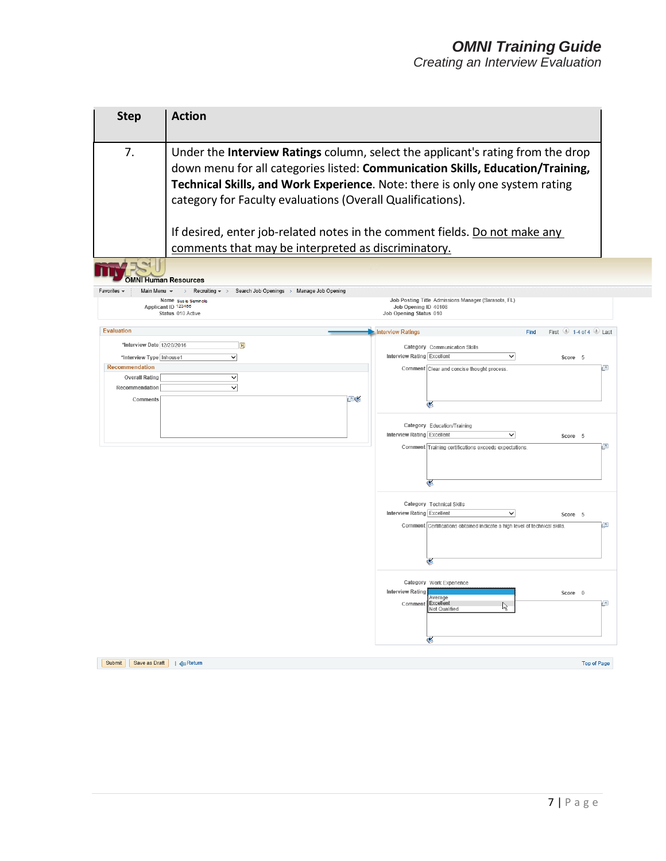#### *OMNI Training Guide Creating an Interview Evaluation*

**Step Action** 7. Under the **Interview Ratings** column, select the applicant's rating from the drop down menu for all categories listed: **Communication Skills, Education/Training, Technical Skills, and Work Experience**. Note: there is only one system rating category for Faculty evaluations (Overall Qualifications). If desired, enter job-related notes in the comment fields. Do not make any comments that may be interpreted as discriminatory.**Exercise - Main Manuel And Personnels** Main Menu  $\star$  > Recruiting  $\star$  > Search Job Openings > Manage Job Opening Favorites -Name Susie Seminole<br>Applicant ID 123456<br>Status 010 Active Job Posting Title Admissions Manager (Sarasota, FL) Job Opening ID 40108<br>Job Opening ID 40108 Evaluation Find First  $\textcircled{\tiny{\textcircled{\tiny 1-4}}}$  of 4  $\textcircled{\tiny{\textcircled{\tiny 1-4}}}$  Last **Interview Ratings** \*Interview Date 12/20/2016 H Category Communication Skills \*Interview Type Inhouse1  $\overline{\mathsf{v}}$ Interview Rating Excellent  $\checkmark$ Score 5 Recommendation  $\overline{\mathbf{z}}$ Comment Clear and concise thought process. **Overall Rating**  $\checkmark$ Recommendation  $\overline{\phantom{0}}$ Comments O 눎 Category Education/Training Interview Rating Excellent  $\overline{\mathsf{v}}$ Score 5 Comment Training certifications exceeds expectations.  $\sqrt{2}$ Category Technical Skills Interview Rating Excellent  $\checkmark$ Score 5 Comment Certifications obtained indicate a high level of technical skills.  $\overline{\mathbf{z}}$ ē Category Work Experience **Interview Rating** Score 0 verage<br>«**cellent**  $\sqrt{2}$ Commen  $\mathbb{R}$ **Vot Qualified** Submit | Save as Draft | | CReturn Top of Page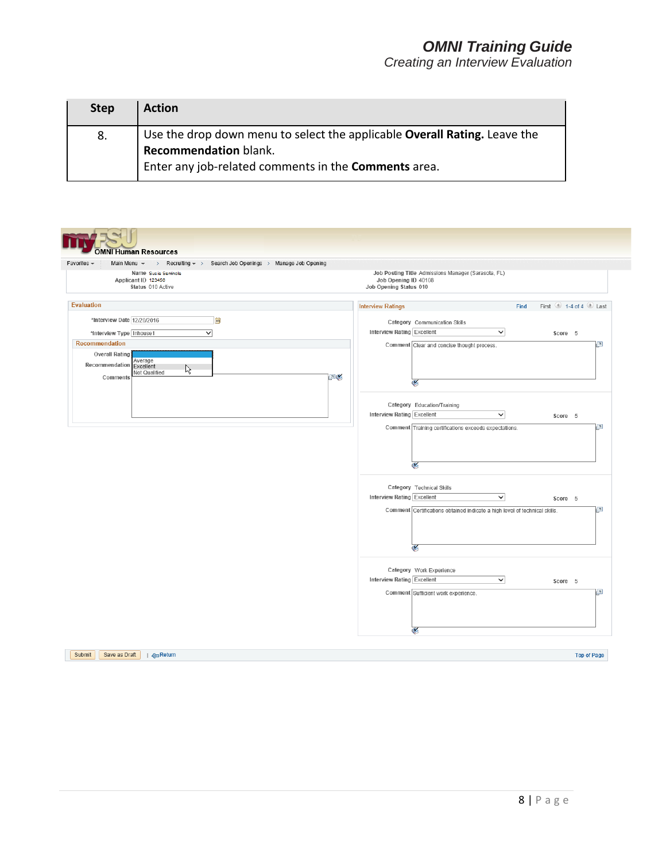| <b>Step</b> | <b>Action</b>                                                             |
|-------------|---------------------------------------------------------------------------|
| 8.          | Use the drop down menu to select the applicable Overall Rating. Leave the |
|             | <b>Recommendation blank.</b>                                              |
|             | Enter any job-related comments in the Comments area.                      |

| Favorites -<br>Main Menu $\star$ > Recruiting $\star$ > Search Job Openings > Manage Job Opening<br>Name Susie Seminole<br>Applicant ID 123456<br>Status 010 Active |    | Job Posting Title Admissions Manager (Sarasota, FL)<br>Job Opening ID 40108<br>Job Opening Status 010                                                                       |
|---------------------------------------------------------------------------------------------------------------------------------------------------------------------|----|-----------------------------------------------------------------------------------------------------------------------------------------------------------------------------|
| <b>Evaluation</b>                                                                                                                                                   |    | First $\bullet$ 1-4 of 4 $\bullet$ Last<br><b>Interview Ratings</b><br>Find                                                                                                 |
| *Interview Date 12/20/2016<br>$\mathbf{B}$<br>*Interview Type Inhouse1<br>$\checkmark$                                                                              |    | Category Communication Skills<br>Interview Rating Excellent<br>$\checkmark$<br>Score 5                                                                                      |
| <b>Recommendation</b><br><b>Overall Rating</b><br>Average<br>Recommendation<br>Excellent<br>R<br>Not Qualified<br>Comments                                          | ⊡≪ | Ð<br>Comment Clear and concise thought process.<br>≤                                                                                                                        |
|                                                                                                                                                                     |    | Category Education/Training<br>Interview Rating Excellent<br>$\checkmark$<br>Score 5<br>$\sqrt{2}$<br>Comment Training certifications exceeds expectations.                 |
|                                                                                                                                                                     |    | ×<br>Category Technical Skills<br>Interview Rating Excellent<br>$\checkmark$<br>Score 5<br>łд<br>Comment Certifications obtained indicate a high level of technical skills. |
|                                                                                                                                                                     |    | ℭ<br>Category Work Experience<br>Interview Rating Excellent<br>$\checkmark$<br>Score 5<br>$\sqrt{2}$<br>Comment Sufficient work experience.                                 |
|                                                                                                                                                                     |    | ថ                                                                                                                                                                           |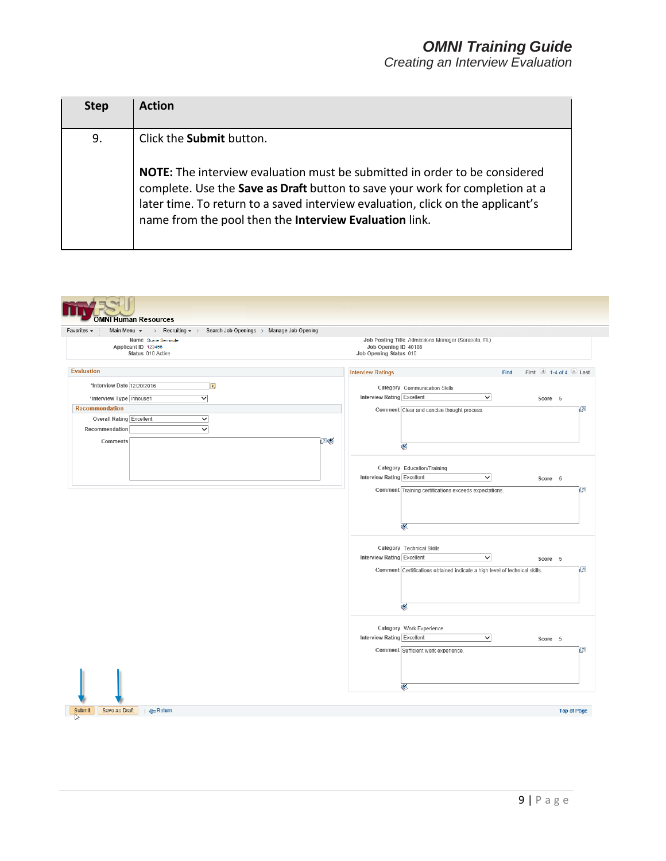| <b>Step</b> | <b>Action</b>                                                                                                                                                                                                                                                                                           |
|-------------|---------------------------------------------------------------------------------------------------------------------------------------------------------------------------------------------------------------------------------------------------------------------------------------------------------|
| 9.          | Click the Submit button.                                                                                                                                                                                                                                                                                |
|             | NOTE: The interview evaluation must be submitted in order to be considered<br>complete. Use the Save as Draft button to save your work for completion at a<br>later time. To return to a saved interview evaluation, click on the applicant's<br>name from the pool then the Interview Evaluation link. |

| <b>OMNI Human Resources</b>                                                                                                                                            |                                                                                                                                                                                     |
|------------------------------------------------------------------------------------------------------------------------------------------------------------------------|-------------------------------------------------------------------------------------------------------------------------------------------------------------------------------------|
| Favorites -<br>Main Menu $\star$ > Recruiting $\star$ > Search Job Openings > Manage Job Opening<br>Name Sus ie Seminole<br>Applicant ID 123456<br>Status 010 Active   | Job Posting Title Admissions Manager (Sarasota, FL)<br>Job Opening ID 40108<br>Job Opening Status 010                                                                               |
| <b>Evaluation</b>                                                                                                                                                      | <b>Interview Ratings</b><br>First $\bigcirc$ 1-4 of 4 $\bigcirc$ Last<br>Find                                                                                                       |
| *Interview Date 12/20/2016<br>$\mathbf{B}$<br>$\overline{\mathsf{v}}$<br>*Interview Type Inhouse1<br><b>Recommendation</b><br>Overall Rating Excellent<br>$\checkmark$ | Category Communication Skills<br>Interview Rating Excellent<br>$\checkmark$<br>Score 5<br>Comment Clear and concise thought process.<br>$\sqrt{2}$                                  |
| $\overline{\mathsf{v}}$<br>Recommendation<br>⊡≪<br>Comments                                                                                                            | $\mathbf{C}$                                                                                                                                                                        |
|                                                                                                                                                                        | Category Education/Training<br>Interview Rating Excellent<br>$\checkmark$<br>Score 5<br>$\overline{\mathbf{z}}$<br>Comment Training certifications exceeds expectations.            |
|                                                                                                                                                                        | ⊛<br>Category Technical Skills<br>Interview Rating Excellent<br>$\checkmark$<br>Score 5<br>$\sqrt{2}$<br>Comment Certifications obtained indicate a high level of technical skills. |
|                                                                                                                                                                        | G<br>Category Work Experience<br>Interview Rating Excellent<br>$\checkmark$<br>Score 5<br>Comment Sufficient work experience.<br>л                                                  |
|                                                                                                                                                                        | ≪                                                                                                                                                                                   |
| Submit<br>Save as Draft<br>  <mreturn< td=""><td><b>Top of Page</b></td></mreturn<>                                                                                    | <b>Top of Page</b>                                                                                                                                                                  |